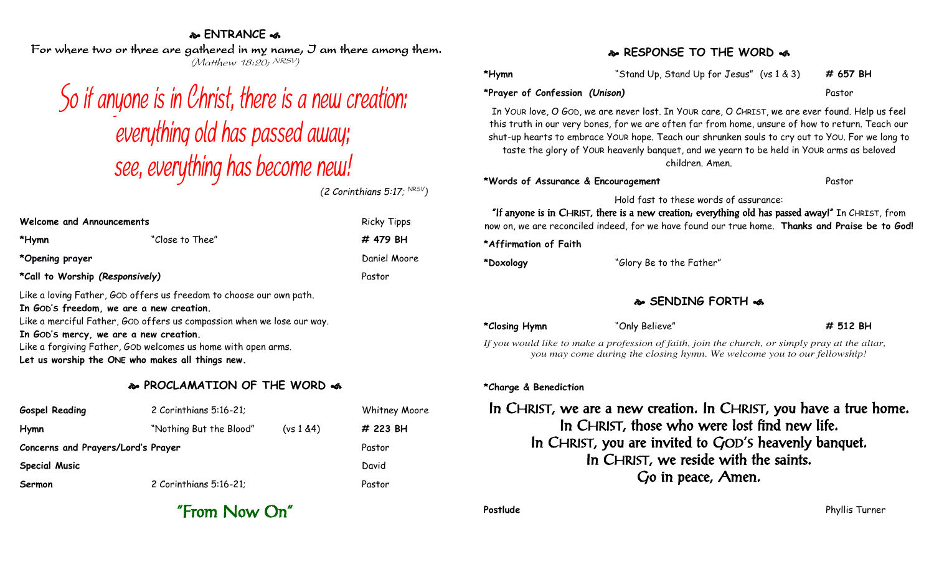#### **ENTRANCE**

For where two or three are gathered in my name, I am there among them. (Matthew 18:20; NRSV)

# So if anyone is in Christ, there is a new creation: everything old has passed away: see, everything has become new!

*(2 Corinthians 5:17; NRSV)*

| <b>Welcome and Announcements</b>                                                                                                                                                                                                    |                 | <b>Ricky Tipps</b> |  |
|-------------------------------------------------------------------------------------------------------------------------------------------------------------------------------------------------------------------------------------|-----------------|--------------------|--|
| *Hymn                                                                                                                                                                                                                               | "Close to Thee" | # 479 BH           |  |
| *Opening prayer                                                                                                                                                                                                                     |                 | Daniel Moore       |  |
| *Call to Worship (Responsively)                                                                                                                                                                                                     |                 | Pastor             |  |
| Like a loving Father, GOD offers us freedom to choose our own path.<br>In GOD's freedom, we are a new creation.<br>Like a merciful Father, GOD offers us compassion when we lose our way.<br>The Carle modern and the communication |                 |                    |  |

**In GOD'S mercy, we are a new creation.** Like a forgiving Father, GOD welcomes us home with open arms. **Let us worship the ONE who makes all things new.**

#### **PROCLAMATION OF THE WORD**

| <b>Gospel Reading</b>              | 2 Corinthians 5:16-21;  |            | <b>Whitney Moore</b> |
|------------------------------------|-------------------------|------------|----------------------|
| Hymn                               | "Nothing But the Blood" | (vs 1 & 4) | # 223 BH             |
| Concerns and Prayers/Lord's Prayer |                         |            | Pastor               |
| <b>Special Music</b>               |                         |            | David                |
| Sermon                             | 2 Corinthians 5:16-21;  |            | Pastor               |

#### **RESPONSE TO THE WORD**

| *Hymn                                                                                                                                                                                                                                                                                                                                                                                                                  | "Stand Up, Stand Up for Jesus" (vs 1 & 3) |  | # 657 BH |  |
|------------------------------------------------------------------------------------------------------------------------------------------------------------------------------------------------------------------------------------------------------------------------------------------------------------------------------------------------------------------------------------------------------------------------|-------------------------------------------|--|----------|--|
| *Prayer of Confession (Unison)                                                                                                                                                                                                                                                                                                                                                                                         |                                           |  | Pastor   |  |
| In Your love, O GOD, we are never lost. In YOUR care, O CHRIST, we are ever found. Help us feel<br>this truth in our very bones, for we are often far from home, unsure of how to return. Teach our<br>shut-up hearts to embrace YOUR hope. Teach our shrunken souls to cry out to YOU. For we long to<br>taste the glory of YOUR heavenly banquet, and we yearn to be held in YOUR arms as beloved<br>children. Amen. |                                           |  |          |  |
| *Words of Assurance & Encouragement                                                                                                                                                                                                                                                                                                                                                                                    |                                           |  | Pastor   |  |
| Hold fast to these words of assurance:<br>"If anyone is in CHRIST, there is a new creation, everything old has passed away!" In CHRIST, from                                                                                                                                                                                                                                                                           |                                           |  |          |  |

now on, we are reconciled indeed, for we have found our true home. **Thanks and Praise be to God!**

**\*Affirmation of Faith**

**\*Doxology** "Glory Be to the Father"

#### **SENDING FORTH**

| *Closing Hymn | "Only Believe"                                                                              | # 512 BH |
|---------------|---------------------------------------------------------------------------------------------|----------|
|               | If you would like to make a profession of faith, join the church, or simply pray at the all |          |

*If you would like to make a profession of faith, join the church, or simply pray at the altar, you may come during the closing hymn. We welcome you to our fellowship!*

#### **\*Charge & Benediction**

In CHRIST, we are a new creation. In CHRIST, you have a true home. In CHRIST, those who were lost find new life. In CHRIST, you are invited to GOD'S heavenly banquet. In CHRIST, we reside with the saints. Go in peace, Amen.

"From Now On"

**Postlude** Phyllis Turner